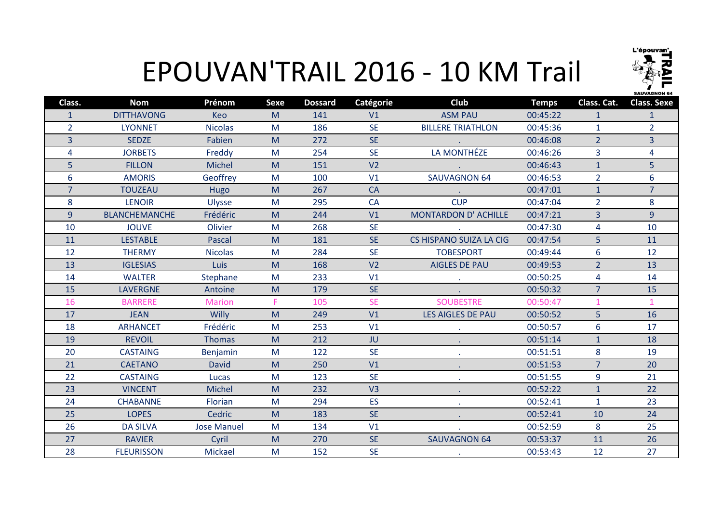

## EPOUVAN'TRAIL 2016 - 10 KM Trail

| <b>DITTHAVONG</b><br><b>ASM PAU</b><br>00:45:22<br>M<br>V1<br><b>Keo</b><br>141<br>$\mathbf{1}$<br>$\mathbf{1}$<br>$\mathbf{1}$<br>$\overline{2}$<br>$\overline{2}$<br><b>SE</b><br><b>BILLERE TRIATHLON</b><br><b>LYONNET</b><br><b>Nicolas</b><br>M<br>186<br>00:45:36<br>$\mathbf{1}$<br>3<br>$\overline{2}$<br>$\overline{3}$<br><b>SE</b><br><b>SEDZE</b><br>Fabien<br>M<br>272<br>00:46:08<br>LA MONTHÉZE<br><b>SE</b><br>$\overline{3}$<br>$\overline{4}$<br>4<br><b>JORBETS</b><br>254<br>00:46:26<br>Freddy<br>M<br>5<br>5<br><b>Michel</b><br>V <sub>2</sub><br><b>FILLON</b><br>M<br>00:46:43<br>$\mathbf{1}$<br>151<br>6<br>$\overline{2}$<br>6<br><b>AMORIS</b><br>Geoffrey<br>V1<br><b>SAUVAGNON 64</b><br>M<br>100<br>00:46:53<br>$\overline{7}$<br>$\overline{7}$<br>267<br><b>CA</b><br>$\mathbf{1}$<br><b>TOUZEAU</b><br>M<br>00:47:01<br>Hugo<br><b>CUP</b><br>8<br>8<br><b>LENOIR</b><br>295<br>$\overline{2}$<br>M<br><b>CA</b><br>00:47:04<br><b>Ulysse</b><br>9<br>Frédéric<br>$\overline{3}$<br>9<br><b>BLANCHEMANCHE</b><br><b>MONTARDON D' ACHILLE</b><br>00:47:21<br>M<br>244<br>V1<br><b>SE</b><br>$\overline{4}$<br>10<br>10<br><b>JOUVE</b><br>Olivier<br>M<br>268<br>00:47:30<br>SE.<br><b>CS HISPANO SUIZA LA CIG</b><br>5<br>11<br>11<br><b>LESTABLE</b><br>181<br>00:47:54<br>Pascal<br>M<br>$6\phantom{a}$<br>12<br>12<br>284<br><b>SE</b><br><b>THERMY</b><br><b>Nicolas</b><br>M<br><b>TOBESPORT</b><br>00:49:44<br>V <sub>2</sub><br>13<br>$\overline{2}$<br>13<br><b>IGLESIAS</b><br>Luis<br>M<br>168<br><b>AIGLES DE PAU</b><br>00:49:53<br>4<br>14<br>14<br><b>WALTER</b><br>Stephane<br>M<br>233<br>V1<br>00:50:25<br>$\sim 10^{-1}$<br><b>SE</b><br>15<br>15<br>$\overline{7}$<br><b>LAVERGNE</b><br>Antoine<br>179<br>00:50:32<br>M<br><b>SE</b><br><b>SOUBESTRE</b><br>16<br><b>BARRERE</b><br>F.<br>105<br>00:50:47<br>$\mathbf{1}$<br>$\mathbf{1}$<br><b>Marion</b><br>5<br>17<br>V1<br>16<br><b>JEAN</b><br>Willy<br>M<br>249<br>LES AIGLES DE PAU<br>00:50:52<br>6<br>17<br>18<br><b>ARHANCET</b><br>Frédéric<br>M<br>253<br>V1<br>00:50:57<br>19<br>18<br><b>REVOIL</b><br>M<br>212<br><b>JU</b><br>00:51:14<br>$\mathbf{1}$<br><b>Thomas</b><br><b>SE</b><br>8<br>19<br>20<br>122<br>00:51:51<br><b>CASTAING</b><br>Benjamin<br>M<br>$\overline{7}$<br>21<br>V1<br>20<br><b>CAETANO</b><br><b>David</b><br>M<br>250<br>00:51:53<br>9<br>22<br><b>SE</b><br>21<br>123<br><b>CASTAING</b><br>M<br>00:51:55<br>Lucas<br>23<br>V <sub>3</sub><br>22<br><b>VINCENT</b><br><b>Michel</b><br>M<br>232<br>00:52:22<br>$\mathbf{1}$<br><b>ES</b><br>23<br>24<br>294<br>00:52:41<br><b>CHABANNE</b><br>M<br>$\mathbf{1}$<br>Florian<br>Cedric<br><b>SE</b><br>24<br>25<br><b>LOPES</b><br>183<br>00:52:41<br>M<br>10<br>8<br>25<br>26<br><b>DA SILVA</b><br><b>Jose Manuel</b><br>M<br>134<br>V1<br>00:52:59<br><b>SE</b><br>27<br><b>RAVIER</b><br><b>SAUVAGNON 64</b><br>26<br>Cyril<br>M<br>270<br>00:53:37<br>11<br>28<br><b>SE</b><br>12<br>Mickael<br>M<br>27<br><b>FLEURISSON</b><br>152<br>00:53:43 | Class. | <b>Nom</b> | Prénom | <b>Sexe</b> | <b>Dossard</b> | Catégorie | Club | <b>Temps</b> | Class. Cat. | <b>Class. Sexe</b> |
|------------------------------------------------------------------------------------------------------------------------------------------------------------------------------------------------------------------------------------------------------------------------------------------------------------------------------------------------------------------------------------------------------------------------------------------------------------------------------------------------------------------------------------------------------------------------------------------------------------------------------------------------------------------------------------------------------------------------------------------------------------------------------------------------------------------------------------------------------------------------------------------------------------------------------------------------------------------------------------------------------------------------------------------------------------------------------------------------------------------------------------------------------------------------------------------------------------------------------------------------------------------------------------------------------------------------------------------------------------------------------------------------------------------------------------------------------------------------------------------------------------------------------------------------------------------------------------------------------------------------------------------------------------------------------------------------------------------------------------------------------------------------------------------------------------------------------------------------------------------------------------------------------------------------------------------------------------------------------------------------------------------------------------------------------------------------------------------------------------------------------------------------------------------------------------------------------------------------------------------------------------------------------------------------------------------------------------------------------------------------------------------------------------------------------------------------------------------------------------------------------------------------------------------------------------------------------------------------------------------------------------------------------------------------------------------------------------------------------------------------------------------------------------------------------------------------------------------------------------------------------------------------------------------------------------------------------------------------------------------------------------------------------------------------------|--------|------------|--------|-------------|----------------|-----------|------|--------------|-------------|--------------------|
|                                                                                                                                                                                                                                                                                                                                                                                                                                                                                                                                                                                                                                                                                                                                                                                                                                                                                                                                                                                                                                                                                                                                                                                                                                                                                                                                                                                                                                                                                                                                                                                                                                                                                                                                                                                                                                                                                                                                                                                                                                                                                                                                                                                                                                                                                                                                                                                                                                                                                                                                                                                                                                                                                                                                                                                                                                                                                                                                                                                                                                                      |        |            |        |             |                |           |      |              |             |                    |
|                                                                                                                                                                                                                                                                                                                                                                                                                                                                                                                                                                                                                                                                                                                                                                                                                                                                                                                                                                                                                                                                                                                                                                                                                                                                                                                                                                                                                                                                                                                                                                                                                                                                                                                                                                                                                                                                                                                                                                                                                                                                                                                                                                                                                                                                                                                                                                                                                                                                                                                                                                                                                                                                                                                                                                                                                                                                                                                                                                                                                                                      |        |            |        |             |                |           |      |              |             |                    |
|                                                                                                                                                                                                                                                                                                                                                                                                                                                                                                                                                                                                                                                                                                                                                                                                                                                                                                                                                                                                                                                                                                                                                                                                                                                                                                                                                                                                                                                                                                                                                                                                                                                                                                                                                                                                                                                                                                                                                                                                                                                                                                                                                                                                                                                                                                                                                                                                                                                                                                                                                                                                                                                                                                                                                                                                                                                                                                                                                                                                                                                      |        |            |        |             |                |           |      |              |             |                    |
|                                                                                                                                                                                                                                                                                                                                                                                                                                                                                                                                                                                                                                                                                                                                                                                                                                                                                                                                                                                                                                                                                                                                                                                                                                                                                                                                                                                                                                                                                                                                                                                                                                                                                                                                                                                                                                                                                                                                                                                                                                                                                                                                                                                                                                                                                                                                                                                                                                                                                                                                                                                                                                                                                                                                                                                                                                                                                                                                                                                                                                                      |        |            |        |             |                |           |      |              |             |                    |
|                                                                                                                                                                                                                                                                                                                                                                                                                                                                                                                                                                                                                                                                                                                                                                                                                                                                                                                                                                                                                                                                                                                                                                                                                                                                                                                                                                                                                                                                                                                                                                                                                                                                                                                                                                                                                                                                                                                                                                                                                                                                                                                                                                                                                                                                                                                                                                                                                                                                                                                                                                                                                                                                                                                                                                                                                                                                                                                                                                                                                                                      |        |            |        |             |                |           |      |              |             |                    |
|                                                                                                                                                                                                                                                                                                                                                                                                                                                                                                                                                                                                                                                                                                                                                                                                                                                                                                                                                                                                                                                                                                                                                                                                                                                                                                                                                                                                                                                                                                                                                                                                                                                                                                                                                                                                                                                                                                                                                                                                                                                                                                                                                                                                                                                                                                                                                                                                                                                                                                                                                                                                                                                                                                                                                                                                                                                                                                                                                                                                                                                      |        |            |        |             |                |           |      |              |             |                    |
|                                                                                                                                                                                                                                                                                                                                                                                                                                                                                                                                                                                                                                                                                                                                                                                                                                                                                                                                                                                                                                                                                                                                                                                                                                                                                                                                                                                                                                                                                                                                                                                                                                                                                                                                                                                                                                                                                                                                                                                                                                                                                                                                                                                                                                                                                                                                                                                                                                                                                                                                                                                                                                                                                                                                                                                                                                                                                                                                                                                                                                                      |        |            |        |             |                |           |      |              |             |                    |
|                                                                                                                                                                                                                                                                                                                                                                                                                                                                                                                                                                                                                                                                                                                                                                                                                                                                                                                                                                                                                                                                                                                                                                                                                                                                                                                                                                                                                                                                                                                                                                                                                                                                                                                                                                                                                                                                                                                                                                                                                                                                                                                                                                                                                                                                                                                                                                                                                                                                                                                                                                                                                                                                                                                                                                                                                                                                                                                                                                                                                                                      |        |            |        |             |                |           |      |              |             |                    |
|                                                                                                                                                                                                                                                                                                                                                                                                                                                                                                                                                                                                                                                                                                                                                                                                                                                                                                                                                                                                                                                                                                                                                                                                                                                                                                                                                                                                                                                                                                                                                                                                                                                                                                                                                                                                                                                                                                                                                                                                                                                                                                                                                                                                                                                                                                                                                                                                                                                                                                                                                                                                                                                                                                                                                                                                                                                                                                                                                                                                                                                      |        |            |        |             |                |           |      |              |             |                    |
|                                                                                                                                                                                                                                                                                                                                                                                                                                                                                                                                                                                                                                                                                                                                                                                                                                                                                                                                                                                                                                                                                                                                                                                                                                                                                                                                                                                                                                                                                                                                                                                                                                                                                                                                                                                                                                                                                                                                                                                                                                                                                                                                                                                                                                                                                                                                                                                                                                                                                                                                                                                                                                                                                                                                                                                                                                                                                                                                                                                                                                                      |        |            |        |             |                |           |      |              |             |                    |
|                                                                                                                                                                                                                                                                                                                                                                                                                                                                                                                                                                                                                                                                                                                                                                                                                                                                                                                                                                                                                                                                                                                                                                                                                                                                                                                                                                                                                                                                                                                                                                                                                                                                                                                                                                                                                                                                                                                                                                                                                                                                                                                                                                                                                                                                                                                                                                                                                                                                                                                                                                                                                                                                                                                                                                                                                                                                                                                                                                                                                                                      |        |            |        |             |                |           |      |              |             |                    |
|                                                                                                                                                                                                                                                                                                                                                                                                                                                                                                                                                                                                                                                                                                                                                                                                                                                                                                                                                                                                                                                                                                                                                                                                                                                                                                                                                                                                                                                                                                                                                                                                                                                                                                                                                                                                                                                                                                                                                                                                                                                                                                                                                                                                                                                                                                                                                                                                                                                                                                                                                                                                                                                                                                                                                                                                                                                                                                                                                                                                                                                      |        |            |        |             |                |           |      |              |             |                    |
|                                                                                                                                                                                                                                                                                                                                                                                                                                                                                                                                                                                                                                                                                                                                                                                                                                                                                                                                                                                                                                                                                                                                                                                                                                                                                                                                                                                                                                                                                                                                                                                                                                                                                                                                                                                                                                                                                                                                                                                                                                                                                                                                                                                                                                                                                                                                                                                                                                                                                                                                                                                                                                                                                                                                                                                                                                                                                                                                                                                                                                                      |        |            |        |             |                |           |      |              |             |                    |
|                                                                                                                                                                                                                                                                                                                                                                                                                                                                                                                                                                                                                                                                                                                                                                                                                                                                                                                                                                                                                                                                                                                                                                                                                                                                                                                                                                                                                                                                                                                                                                                                                                                                                                                                                                                                                                                                                                                                                                                                                                                                                                                                                                                                                                                                                                                                                                                                                                                                                                                                                                                                                                                                                                                                                                                                                                                                                                                                                                                                                                                      |        |            |        |             |                |           |      |              |             |                    |
|                                                                                                                                                                                                                                                                                                                                                                                                                                                                                                                                                                                                                                                                                                                                                                                                                                                                                                                                                                                                                                                                                                                                                                                                                                                                                                                                                                                                                                                                                                                                                                                                                                                                                                                                                                                                                                                                                                                                                                                                                                                                                                                                                                                                                                                                                                                                                                                                                                                                                                                                                                                                                                                                                                                                                                                                                                                                                                                                                                                                                                                      |        |            |        |             |                |           |      |              |             |                    |
|                                                                                                                                                                                                                                                                                                                                                                                                                                                                                                                                                                                                                                                                                                                                                                                                                                                                                                                                                                                                                                                                                                                                                                                                                                                                                                                                                                                                                                                                                                                                                                                                                                                                                                                                                                                                                                                                                                                                                                                                                                                                                                                                                                                                                                                                                                                                                                                                                                                                                                                                                                                                                                                                                                                                                                                                                                                                                                                                                                                                                                                      |        |            |        |             |                |           |      |              |             |                    |
|                                                                                                                                                                                                                                                                                                                                                                                                                                                                                                                                                                                                                                                                                                                                                                                                                                                                                                                                                                                                                                                                                                                                                                                                                                                                                                                                                                                                                                                                                                                                                                                                                                                                                                                                                                                                                                                                                                                                                                                                                                                                                                                                                                                                                                                                                                                                                                                                                                                                                                                                                                                                                                                                                                                                                                                                                                                                                                                                                                                                                                                      |        |            |        |             |                |           |      |              |             |                    |
|                                                                                                                                                                                                                                                                                                                                                                                                                                                                                                                                                                                                                                                                                                                                                                                                                                                                                                                                                                                                                                                                                                                                                                                                                                                                                                                                                                                                                                                                                                                                                                                                                                                                                                                                                                                                                                                                                                                                                                                                                                                                                                                                                                                                                                                                                                                                                                                                                                                                                                                                                                                                                                                                                                                                                                                                                                                                                                                                                                                                                                                      |        |            |        |             |                |           |      |              |             |                    |
|                                                                                                                                                                                                                                                                                                                                                                                                                                                                                                                                                                                                                                                                                                                                                                                                                                                                                                                                                                                                                                                                                                                                                                                                                                                                                                                                                                                                                                                                                                                                                                                                                                                                                                                                                                                                                                                                                                                                                                                                                                                                                                                                                                                                                                                                                                                                                                                                                                                                                                                                                                                                                                                                                                                                                                                                                                                                                                                                                                                                                                                      |        |            |        |             |                |           |      |              |             |                    |
|                                                                                                                                                                                                                                                                                                                                                                                                                                                                                                                                                                                                                                                                                                                                                                                                                                                                                                                                                                                                                                                                                                                                                                                                                                                                                                                                                                                                                                                                                                                                                                                                                                                                                                                                                                                                                                                                                                                                                                                                                                                                                                                                                                                                                                                                                                                                                                                                                                                                                                                                                                                                                                                                                                                                                                                                                                                                                                                                                                                                                                                      |        |            |        |             |                |           |      |              |             |                    |
|                                                                                                                                                                                                                                                                                                                                                                                                                                                                                                                                                                                                                                                                                                                                                                                                                                                                                                                                                                                                                                                                                                                                                                                                                                                                                                                                                                                                                                                                                                                                                                                                                                                                                                                                                                                                                                                                                                                                                                                                                                                                                                                                                                                                                                                                                                                                                                                                                                                                                                                                                                                                                                                                                                                                                                                                                                                                                                                                                                                                                                                      |        |            |        |             |                |           |      |              |             |                    |
|                                                                                                                                                                                                                                                                                                                                                                                                                                                                                                                                                                                                                                                                                                                                                                                                                                                                                                                                                                                                                                                                                                                                                                                                                                                                                                                                                                                                                                                                                                                                                                                                                                                                                                                                                                                                                                                                                                                                                                                                                                                                                                                                                                                                                                                                                                                                                                                                                                                                                                                                                                                                                                                                                                                                                                                                                                                                                                                                                                                                                                                      |        |            |        |             |                |           |      |              |             |                    |
|                                                                                                                                                                                                                                                                                                                                                                                                                                                                                                                                                                                                                                                                                                                                                                                                                                                                                                                                                                                                                                                                                                                                                                                                                                                                                                                                                                                                                                                                                                                                                                                                                                                                                                                                                                                                                                                                                                                                                                                                                                                                                                                                                                                                                                                                                                                                                                                                                                                                                                                                                                                                                                                                                                                                                                                                                                                                                                                                                                                                                                                      |        |            |        |             |                |           |      |              |             |                    |
|                                                                                                                                                                                                                                                                                                                                                                                                                                                                                                                                                                                                                                                                                                                                                                                                                                                                                                                                                                                                                                                                                                                                                                                                                                                                                                                                                                                                                                                                                                                                                                                                                                                                                                                                                                                                                                                                                                                                                                                                                                                                                                                                                                                                                                                                                                                                                                                                                                                                                                                                                                                                                                                                                                                                                                                                                                                                                                                                                                                                                                                      |        |            |        |             |                |           |      |              |             |                    |
|                                                                                                                                                                                                                                                                                                                                                                                                                                                                                                                                                                                                                                                                                                                                                                                                                                                                                                                                                                                                                                                                                                                                                                                                                                                                                                                                                                                                                                                                                                                                                                                                                                                                                                                                                                                                                                                                                                                                                                                                                                                                                                                                                                                                                                                                                                                                                                                                                                                                                                                                                                                                                                                                                                                                                                                                                                                                                                                                                                                                                                                      |        |            |        |             |                |           |      |              |             |                    |
|                                                                                                                                                                                                                                                                                                                                                                                                                                                                                                                                                                                                                                                                                                                                                                                                                                                                                                                                                                                                                                                                                                                                                                                                                                                                                                                                                                                                                                                                                                                                                                                                                                                                                                                                                                                                                                                                                                                                                                                                                                                                                                                                                                                                                                                                                                                                                                                                                                                                                                                                                                                                                                                                                                                                                                                                                                                                                                                                                                                                                                                      |        |            |        |             |                |           |      |              |             |                    |
|                                                                                                                                                                                                                                                                                                                                                                                                                                                                                                                                                                                                                                                                                                                                                                                                                                                                                                                                                                                                                                                                                                                                                                                                                                                                                                                                                                                                                                                                                                                                                                                                                                                                                                                                                                                                                                                                                                                                                                                                                                                                                                                                                                                                                                                                                                                                                                                                                                                                                                                                                                                                                                                                                                                                                                                                                                                                                                                                                                                                                                                      |        |            |        |             |                |           |      |              |             |                    |
|                                                                                                                                                                                                                                                                                                                                                                                                                                                                                                                                                                                                                                                                                                                                                                                                                                                                                                                                                                                                                                                                                                                                                                                                                                                                                                                                                                                                                                                                                                                                                                                                                                                                                                                                                                                                                                                                                                                                                                                                                                                                                                                                                                                                                                                                                                                                                                                                                                                                                                                                                                                                                                                                                                                                                                                                                                                                                                                                                                                                                                                      |        |            |        |             |                |           |      |              |             |                    |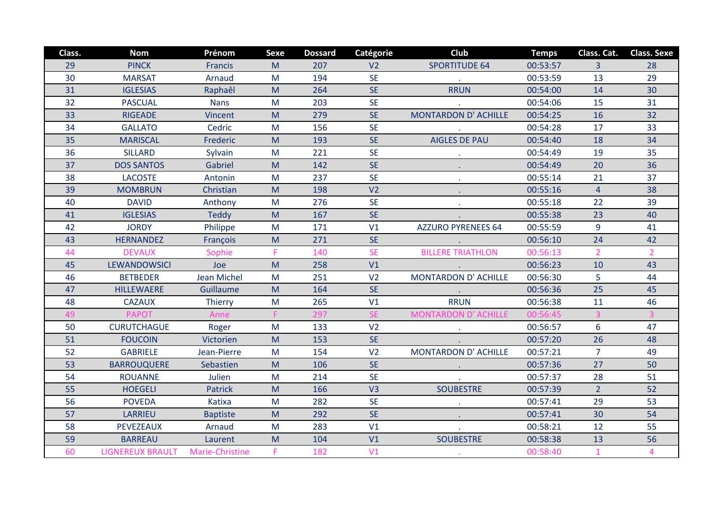| Class. | <b>Nom</b>              | Prénom             | Sexe | <b>Dossard</b> | Catégorie      | Club                        | <b>Temps</b> | Class. Cat.    | <b>Class. Sexe</b> |
|--------|-------------------------|--------------------|------|----------------|----------------|-----------------------------|--------------|----------------|--------------------|
| 29     | <b>PINCK</b>            | <b>Francis</b>     | M    | 207            | V <sub>2</sub> | <b>SPORTITUDE 64</b>        | 00:53:57     | 3              | 28                 |
| 30     | <b>MARSAT</b>           | Arnaud             | M    | 194            | <b>SE</b>      |                             | 00:53:59     | 13             | 29                 |
| 31     | <b>IGLESIAS</b>         | Raphaêl            | M    | 264            | <b>SE</b>      | <b>RRUN</b>                 | 00:54:00     | 14             | 30                 |
| 32     | <b>PASCUAL</b>          | <b>Nans</b>        | M    | 203            | <b>SE</b>      |                             | 00:54:06     | 15             | 31                 |
| 33     | <b>RIGEADE</b>          | Vincent            | M    | 279            | <b>SE</b>      | <b>MONTARDON D' ACHILLE</b> | 00:54:25     | 16             | 32                 |
| 34     | <b>GALLATO</b>          | Cedric             | M    | 156            | <b>SE</b>      |                             | 00:54:28     | 17             | 33                 |
| 35     | <b>MARISCAL</b>         | Frederic           | M    | 193            | <b>SE</b>      | <b>AIGLES DE PAU</b>        | 00:54:40     | 18             | 34                 |
| 36     | <b>SILLARD</b>          | Sylvain            | M    | 221            | <b>SE</b>      |                             | 00:54:49     | 19             | 35                 |
| 37     | <b>DOS SANTOS</b>       | Gabriel            | M    | 142            | <b>SE</b>      |                             | 00:54:49     | 20             | 36                 |
| 38     | <b>LACOSTE</b>          | Antonin            | M    | 237            | <b>SE</b>      |                             | 00:55:14     | 21             | 37                 |
| 39     | <b>MOMBRUN</b>          | Christian          | M    | 198            | V <sub>2</sub> |                             | 00:55:16     | $\overline{4}$ | 38                 |
| 40     | <b>DAVID</b>            | Anthony            | M    | 276            | <b>SE</b>      |                             | 00:55:18     | 22             | 39                 |
| 41     | <b>IGLESIAS</b>         | <b>Teddy</b>       | M    | 167            | <b>SE</b>      |                             | 00:55:38     | 23             | 40                 |
| 42     | <b>JORDY</b>            | Philippe           | M    | 171            | V1             | <b>AZZURO PYRENEES 64</b>   | 00:55:59     | 9              | 41                 |
| 43     | <b>HERNANDEZ</b>        | François           | M    | 271            | <b>SE</b>      |                             | 00:56:10     | 24             | 42                 |
| 44     | <b>DEVAUX</b>           | Sophie             | F    | 140            | <b>SE</b>      | <b>BILLERE TRIATHLON</b>    | 00:56:13     | 2 <sup>1</sup> | $\overline{2}$     |
| 45     | <b>LEWANDOWSICI</b>     | Joe                | M    | 258            | V1             |                             | 00:56:23     | 10             | 43                 |
| 46     | <b>BETBEDER</b>         | <b>Jean Michel</b> | M    | 251            | V <sub>2</sub> | <b>MONTARDON D' ACHILLE</b> | 00:56:30     | 5              | 44                 |
| 47     | <b>HILLEWAERE</b>       | Guillaume          | M    | 164            | <b>SE</b>      |                             | 00:56:36     | 25             | 45                 |
| 48     | <b>CAZAUX</b>           | Thierry            | M    | 265            | V1             | <b>RRUN</b>                 | 00:56:38     | 11             | 46                 |
| 49     | <b>PAPOT</b>            | Anne               | F.   | 297            | <b>SE</b>      | <b>MONTARDON D' ACHILLE</b> | 00:56:45     |                |                    |
| 50     | <b>CURUTCHAGUE</b>      | Roger              | M    | 133            | V <sub>2</sub> |                             | 00:56:57     | $6\phantom{a}$ | 47                 |
| 51     | <b>FOUCOIN</b>          | Victorien          | M    | 153            | <b>SE</b>      |                             | 00:57:20     | 26             | 48                 |
| 52     | <b>GABRIELE</b>         | Jean-Pierre        | M    | 154            | V <sub>2</sub> | MONTARDON D' ACHILLE        | 00:57:21     | $\overline{7}$ | 49                 |
| 53     | <b>BARROUQUERE</b>      | Sebastien          | M    | 106            | <b>SE</b>      |                             | 00:57:36     | 27             | 50                 |
| 54     | <b>ROUANNE</b>          | Julien             | M    | 214            | <b>SE</b>      |                             | 00:57:37     | 28             | 51                 |
| 55     | <b>HOEGELI</b>          | <b>Patrick</b>     | M    | 166            | V <sub>3</sub> | <b>SOUBESTRE</b>            | 00:57:39     | 2 <sup>1</sup> | 52                 |
| 56     | <b>POVEDA</b>           | Katixa             | M    | 282            | <b>SE</b>      |                             | 00:57:41     | 29             | 53                 |
| 57     | <b>LARRIEU</b>          | <b>Baptiste</b>    | M    | 292            | <b>SE</b>      |                             | 00:57:41     | 30             | 54                 |
| 58     | <b>PEVEZEAUX</b>        | Arnaud             | M    | 283            | V1             |                             | 00:58:21     | 12             | 55                 |
| 59     | <b>BARREAU</b>          | Laurent            | M    | 104            | V1             | <b>SOUBESTRE</b>            | 00:58:38     | 13             | 56                 |
| 60     | <b>LIGNEREUX BRAULT</b> | Marie-Christine    | F.   | 182            | V1             |                             | 00:58:40     | $\mathbf{1}$   | $\overline{4}$     |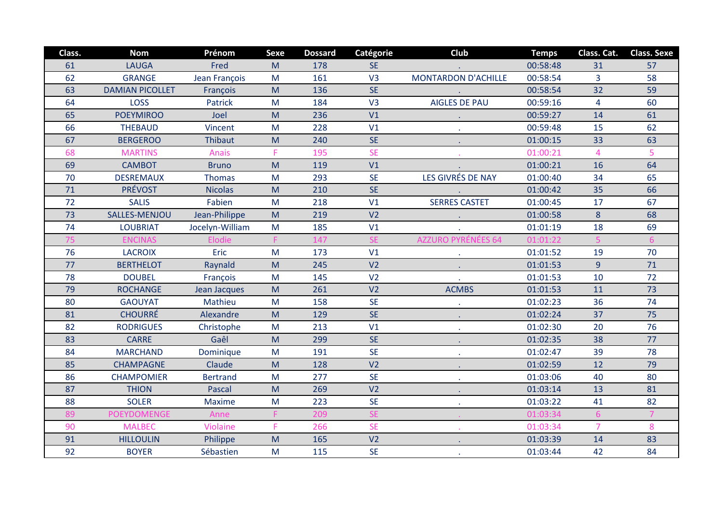| Class. | <b>Nom</b>             | Prénom          | <b>Sexe</b>                                                                                                | <b>Dossard</b> | Catégorie      | Club                       | <b>Temps</b> | Class. Cat.    | <b>Class. Sexe</b> |
|--------|------------------------|-----------------|------------------------------------------------------------------------------------------------------------|----------------|----------------|----------------------------|--------------|----------------|--------------------|
| 61     | <b>LAUGA</b>           | Fred            | M                                                                                                          | 178            | <b>SE</b>      |                            | 00:58:48     | 31             | 57                 |
| 62     | <b>GRANGE</b>          | Jean François   | M                                                                                                          | 161            | V <sub>3</sub> | <b>MONTARDON D'ACHILLE</b> | 00:58:54     | $\overline{3}$ | 58                 |
| 63     | <b>DAMIAN PICOLLET</b> | François        | M                                                                                                          | 136            | <b>SE</b>      |                            | 00:58:54     | 32             | 59                 |
| 64     | <b>LOSS</b>            | <b>Patrick</b>  | M                                                                                                          | 184            | V3             | <b>AIGLES DE PAU</b>       | 00:59:16     | 4              | 60                 |
| 65     | <b>POEYMIROO</b>       | Joel            | M                                                                                                          | 236            | V1             |                            | 00:59:27     | 14             | 61                 |
| 66     | <b>THEBAUD</b>         | Vincent         | M                                                                                                          | 228            | V1             |                            | 00:59:48     | 15             | 62                 |
| 67     | <b>BERGEROO</b>        | Thibaut         | $\mathsf{M}% _{T}=\mathsf{M}_{T}\!\left( a,b\right) ,\ \mathsf{M}_{T}=\mathsf{M}_{T}\!\left( a,b\right) ,$ | 240            | <b>SE</b>      | $\mathbf{r}$ .             | 01:00:15     | 33             | 63                 |
| 68     | <b>MARTINS</b>         | <b>Anais</b>    | F.                                                                                                         | 195            | <b>SE</b>      |                            | 01:00:21     | $\overline{4}$ | 5                  |
| 69     | <b>CAMBOT</b>          | <b>Bruno</b>    | M                                                                                                          | 119            | V1             |                            | 01:00:21     | 16             | 64                 |
| 70     | <b>DESREMAUX</b>       | <b>Thomas</b>   | M                                                                                                          | 293            | <b>SE</b>      | LES GIVRÉS DE NAY          | 01:00:40     | 34             | 65                 |
| 71     | <b>PRÉVOST</b>         | <b>Nicolas</b>  | M                                                                                                          | 210            | <b>SE</b>      |                            | 01:00:42     | 35             | 66                 |
| 72     | <b>SALIS</b>           | Fabien          | M                                                                                                          | 218            | V1             | <b>SERRES CASTET</b>       | 01:00:45     | 17             | 67                 |
| 73     | SALLES-MENJOU          | Jean-Philippe   | M                                                                                                          | 219            | V <sub>2</sub> |                            | 01:00:58     | 8              | 68                 |
| 74     | <b>LOUBRIAT</b>        | Jocelyn-William | M                                                                                                          | 185            | V1             |                            | 01:01:19     | 18             | 69                 |
| 75     | <b>ENCINAS</b>         | Elodie          |                                                                                                            | 147            | <b>SE</b>      | <b>AZZURO PYRÉNÉES 64</b>  | 01:01:22     | 5              | $6\phantom{1}6$    |
| 76     | <b>LACROIX</b>         | <b>Eric</b>     | M                                                                                                          | 173            | V1             |                            | 01:01:52     | 19             | 70                 |
| 77     | <b>BERTHELOT</b>       | Raynald         | M                                                                                                          | 245            | V <sub>2</sub> |                            | 01:01:53     | 9              | 71                 |
| 78     | <b>DOUBEL</b>          | François        | M                                                                                                          | 145            | V <sub>2</sub> |                            | 01:01:53     | 10             | 72                 |
| 79     | <b>ROCHANGE</b>        | Jean Jacques    | M                                                                                                          | 261            | V <sub>2</sub> | <b>ACMBS</b>               | 01:01:53     | 11             | 73                 |
| 80     | <b>GAOUYAT</b>         | Mathieu         | M                                                                                                          | 158            | <b>SE</b>      |                            | 01:02:23     | 36             | 74                 |
| 81     | <b>CHOURRÉ</b>         | Alexandre       | M                                                                                                          | 129            | <b>SE</b>      |                            | 01:02:24     | 37             | 75                 |
| 82     | <b>RODRIGUES</b>       | Christophe      | M                                                                                                          | 213            | V1             |                            | 01:02:30     | 20             | 76                 |
| 83     | <b>CARRE</b>           | Gaêl            | M                                                                                                          | 299            | <b>SE</b>      |                            | 01:02:35     | 38             | 77                 |
| 84     | <b>MARCHAND</b>        | Dominique       | M                                                                                                          | 191            | <b>SE</b>      |                            | 01:02:47     | 39             | 78                 |
| 85     | <b>CHAMPAGNE</b>       | Claude          | M                                                                                                          | 128            | V <sub>2</sub> |                            | 01:02:59     | 12             | 79                 |
| 86     | <b>CHAMPOMIER</b>      | <b>Bertrand</b> | M                                                                                                          | 277            | <b>SE</b>      |                            | 01:03:06     | 40             | 80                 |
| 87     | <b>THION</b>           | Pascal          | M                                                                                                          | 269            | V <sub>2</sub> |                            | 01:03:14     | 13             | 81                 |
| 88     | <b>SOLER</b>           | <b>Maxime</b>   | M                                                                                                          | 223            | <b>SE</b>      |                            | 01:03:22     | 41             | 82                 |
| 89     | <b>POEYDOMENGE</b>     | Anne            |                                                                                                            | 209            | <b>SE</b>      |                            | 01:03:34     | 6              |                    |
| 90     | <b>MALBEC</b>          | Violaine        | F                                                                                                          | 266            | <b>SE</b>      |                            | 01:03:34     | $\overline{7}$ | 8                  |
| 91     | <b>HILLOULIN</b>       | Philippe        | M                                                                                                          | 165            | V <sub>2</sub> |                            | 01:03:39     | 14             | 83                 |
| 92     | <b>BOYER</b>           | Sébastien       | M                                                                                                          | 115            | <b>SE</b>      |                            | 01:03:44     | 42             | 84                 |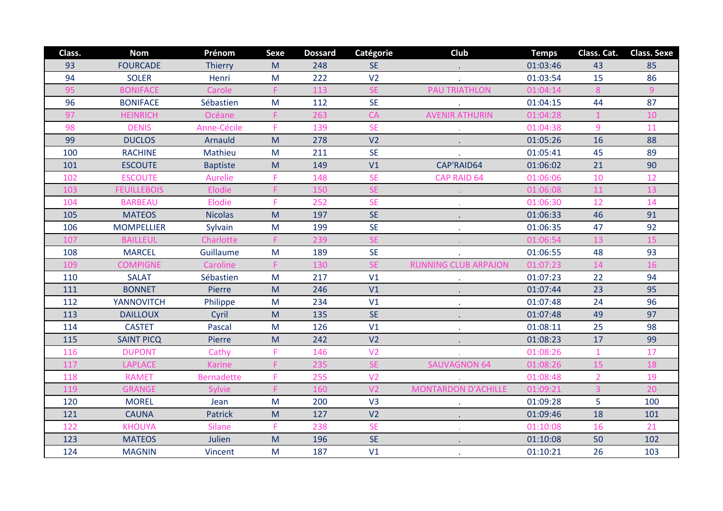| Class. | <b>Nom</b>         | Prénom            | <b>Sexe</b> | <b>Dossard</b> | Catégorie      | Club                        | <b>Temps</b> | Class. Cat.    | <b>Class. Sexe</b> |
|--------|--------------------|-------------------|-------------|----------------|----------------|-----------------------------|--------------|----------------|--------------------|
| 93     | <b>FOURCADE</b>    | <b>Thierry</b>    | M           | 248            | <b>SE</b>      |                             | 01:03:46     | 43             | 85                 |
| 94     | <b>SOLER</b>       | Henri             | M           | 222            | V <sub>2</sub> |                             | 01:03:54     | 15             | 86                 |
| 95     | <b>BONIFACE</b>    | Carole            | F           | 113            | <b>SE</b>      | <b>PAU TRIATHLON</b>        | 01:04:14     | 8              | 9                  |
| 96     | <b>BONIFACE</b>    | Sébastien         | M           | 112            | <b>SE</b>      |                             | 01:04:15     | 44             | 87                 |
| 97     | <b>HEINRICH</b>    | Océane            |             | 263            | CA             | <b>AVENIR ATHURIN</b>       | 01:04:28     |                | 10                 |
| 98     | <b>DENIS</b>       | Anne-Cécile       | F.          | 139            | <b>SE</b>      |                             | 01:04:38     | 9              | 11                 |
| 99     | <b>DUCLOS</b>      | <b>Arnauld</b>    | M           | 278            | V <sub>2</sub> | $\bullet$                   | 01:05:26     | 16             | 88                 |
| 100    | <b>RACHINE</b>     | Mathieu           | M           | 211            | <b>SE</b>      |                             | 01:05:41     | 45             | 89                 |
| 101    | <b>ESCOUTE</b>     | <b>Baptiste</b>   | M           | 149            | V1             | CAP'RAID64                  | 01:06:02     | 21             | 90                 |
| 102    | <b>ESCOUTE</b>     | Aurelie           | F           | 148            | <b>SE</b>      | <b>CAP RAID 64</b>          | 01:06:06     | 10             | 12                 |
| 103    | <b>FEUILLEBOIS</b> | Elodie            |             | 150            | <b>SE</b>      |                             | 01:06:08     | 11             | 13                 |
| 104    | <b>BARBEAU</b>     | Elodie            | F           | 252            | <b>SE</b>      |                             | 01:06:30     | 12             | 14                 |
| 105    | <b>MATEOS</b>      | <b>Nicolas</b>    | M           | 197            | <b>SE</b>      |                             | 01:06:33     | 46             | 91                 |
| 106    | <b>MOMPELLIER</b>  | Sylvain           | M           | 199            | <b>SE</b>      |                             | 01:06:35     | 47             | 92                 |
| 107    | <b>BAILLEUL</b>    | Charlotte         |             | 239            | <b>SE</b>      |                             | 01:06:54     | 13             | 15                 |
| 108    | <b>MARCEL</b>      | Guillaume         | M           | 189            | <b>SE</b>      |                             | 01:06:55     | 48             | 93                 |
| 109    | <b>COMPIGNE</b>    | Caroline          | F           | 130            | <b>SE</b>      | <b>RUNNING CLUB ARPAJON</b> | 01:07:23     | 14             | 16                 |
| 110    | <b>SALAT</b>       | Sébastien         | M           | 217            | V1             |                             | 01:07:23     | 22             | 94                 |
| 111    | <b>BONNET</b>      | Pierre            | M           | 246            | V1             |                             | 01:07:44     | 23             | 95                 |
| 112    | <b>YANNOVITCH</b>  | Philippe          | M           | 234            | V1             |                             | 01:07:48     | 24             | 96                 |
| 113    | <b>DAILLOUX</b>    | Cyril             | M           | 135            | <b>SE</b>      |                             | 01:07:48     | 49             | 97                 |
| 114    | <b>CASTET</b>      | Pascal            | M           | 126            | V1             |                             | 01:08:11     | 25             | 98                 |
| 115    | <b>SAINT PICQ</b>  | Pierre            | M           | 242            | V <sub>2</sub> | $\mathbf{r}$                | 01:08:23     | 17             | 99                 |
| 116    | <b>DUPONT</b>      | Cathy             | F           | 146            | V <sub>2</sub> |                             | 01:08:26     | $\mathbf{1}$   | 17                 |
| 117    | <b>LAPLACE</b>     | <b>Karine</b>     |             | 235            | <b>SE</b>      | <b>SAUVAGNON 64</b>         | 01:08:26     | 15             | 18                 |
| 118    | <b>RAMET</b>       | <b>Bernadette</b> | F           | 255            | V <sub>2</sub> |                             | 01:08:48     | $\overline{2}$ | 19                 |
| 119    | <b>GRANGE</b>      | <b>Sylvie</b>     |             | 160            | V <sub>2</sub> | <b>MONTARDON D'ACHILLE</b>  | 01:09:21     | 3              | 20                 |
| 120    | <b>MOREL</b>       | Jean              | M           | 200            | V3             |                             | 01:09:28     | 5              | 100                |
| 121    | <b>CAUNA</b>       | <b>Patrick</b>    | M           | 127            | V <sub>2</sub> |                             | 01:09:46     | 18             | 101                |
| 122    | <b>KHOUYA</b>      | <b>Silane</b>     | F           | 238            | <b>SE</b>      |                             | 01:10:08     | 16             | 21                 |
| 123    | <b>MATEOS</b>      | Julien            | M           | 196            | <b>SE</b>      |                             | 01:10:08     | 50             | 102                |
| 124    | <b>MAGNIN</b>      | Vincent           | M           | 187            | V1             |                             | 01:10:21     | 26             | 103                |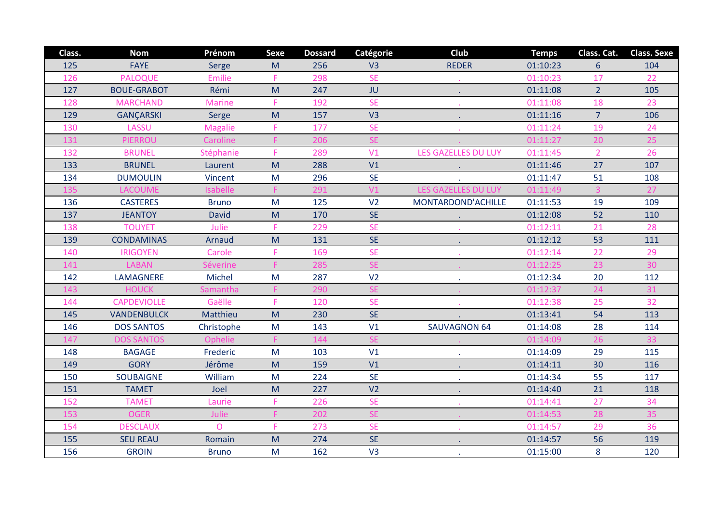| Class. | <b>Nom</b>         | Prénom           | <b>Sexe</b> | <b>Dossard</b> | Catégorie      | Club                       | <b>Temps</b> | Class. Cat.    | <b>Class. Sexe</b> |
|--------|--------------------|------------------|-------------|----------------|----------------|----------------------------|--------------|----------------|--------------------|
| 125    | <b>FAYE</b>        | Serge            | M           | 256            | V <sub>3</sub> | <b>REDER</b>               | 01:10:23     | $6\phantom{1}$ | 104                |
| 126    | <b>PALOQUE</b>     | <b>Emilie</b>    | F           | 298            | <b>SE</b>      |                            | 01:10:23     | 17             | 22                 |
| 127    | <b>BOUE-GRABOT</b> | Rémi             | M           | 247            | JU             |                            | 01:11:08     | $\overline{2}$ | 105                |
| 128    | <b>MARCHAND</b>    | <b>Marine</b>    | F           | 192            | <b>SE</b>      |                            | 01:11:08     | 18             | 23                 |
| 129    | <b>GANÇARSKI</b>   | Serge            | M           | 157            | V <sub>3</sub> |                            | 01:11:16     | $\overline{7}$ | 106                |
| 130    | LASSU              | <b>Magalie</b>   | F           | 177            | <b>SE</b>      |                            | 01:11:24     | 19             | 24                 |
| 131    | <b>PIERROU</b>     | Caroline         |             | 206            | <b>SE</b>      |                            | 01:11:27     | 20             | 25                 |
| 132    | <b>BRUNEL</b>      | <b>Stéphanie</b> | F           | 289            | V <sub>1</sub> | <b>LES GAZELLES DU LUY</b> | 01:11:45     | 2 <sup>1</sup> | 26                 |
| 133    | <b>BRUNEL</b>      | Laurent          | M           | 288            | V <sub>1</sub> |                            | 01:11:46     | 27             | 107                |
| 134    | <b>DUMOULIN</b>    | Vincent          | M           | 296            | <b>SE</b>      |                            | 01:11:47     | 51             | 108                |
| 135    | <b>LACOUME</b>     | <b>Isabelle</b>  | F           | 291            | V1             | <b>LES GAZELLES DU LUY</b> | 01:11:49     | 3              | 27                 |
| 136    | <b>CASTERES</b>    | <b>Bruno</b>     | M           | 125            | V <sub>2</sub> | MONTARDOND'ACHILLE         | 01:11:53     | 19             | 109                |
| 137    | <b>JEANTOY</b>     | <b>David</b>     | M           | 170            | <b>SE</b>      |                            | 01:12:08     | 52             | 110                |
| 138    | <b>TOUYET</b>      | Julie            | F           | 229            | <b>SE</b>      |                            | 01:12:11     | 21             | 28                 |
| 139    | <b>CONDAMINAS</b>  | Arnaud           | M           | 131            | <b>SE</b>      |                            | 01:12:12     | 53             | 111                |
| 140    | <b>IRIGOYEN</b>    | Carole           | F           | 169            | <b>SE</b>      |                            | 01:12:14     | 22             | 29                 |
| 141    | <b>LABAN</b>       | Séverine         |             | 285            | <b>SE</b>      |                            | 01:12:25     | 23             | 30 <sup>°</sup>    |
| 142    | LAMAGNERE          | Michel           | M           | 287            | V <sub>2</sub> |                            | 01:12:34     | 20             | 112                |
| 143    | <b>HOUCK</b>       | Samantha         |             | 290            | <b>SE</b>      |                            | 01:12:37     | 24             | 31                 |
| 144    | <b>CAPDEVIOLLE</b> | Gaëlle           | F           | 120            | <b>SE</b>      |                            | 01:12:38     | 25             | 32                 |
| 145    | <b>VANDENBULCK</b> | Matthieu         | M           | 230            | <b>SE</b>      |                            | 01:13:41     | 54             | 113                |
| 146    | <b>DOS SANTOS</b>  | Christophe       | M           | 143            | V1             | <b>SAUVAGNON 64</b>        | 01:14:08     | 28             | 114                |
| 147    | <b>DOS SANTOS</b>  | Ophelie          |             | 144            | <b>SE</b>      |                            | 01:14:09     | 26             | 33                 |
| 148    | <b>BAGAGE</b>      | Frederic         | M           | 103            | V1             |                            | 01:14:09     | 29             | 115                |
| 149    | <b>GORY</b>        | Jérôme           | M           | 159            | V1             |                            | 01:14:11     | 30             | 116                |
| 150    | <b>SOUBAIGNE</b>   | William          | M           | 224            | <b>SE</b>      |                            | 01:14:34     | 55             | 117                |
| 151    | <b>TAMET</b>       | Joel             | M           | 227            | V <sub>2</sub> |                            | 01:14:40     | 21             | 118                |
| 152    | <b>TAMET</b>       | Laurie           | F           | 226            | <b>SE</b>      |                            | 01:14:41     | 27             | 34                 |
| 153    | <b>OGER</b>        | Julie            |             | 202            | <b>SE</b>      |                            | 01:14:53     | 28             | 35                 |
| 154    | <b>DESCLAUX</b>    | $\overline{O}$   | F           | 273            | <b>SE</b>      |                            | 01:14:57     | 29             | 36                 |
| 155    | <b>SEU REAU</b>    | Romain           | M           | 274            | <b>SE</b>      |                            | 01:14:57     | 56             | 119                |
| 156    | <b>GROIN</b>       | <b>Bruno</b>     | M           | 162            | V <sub>3</sub> |                            | 01:15:00     | 8              | 120                |